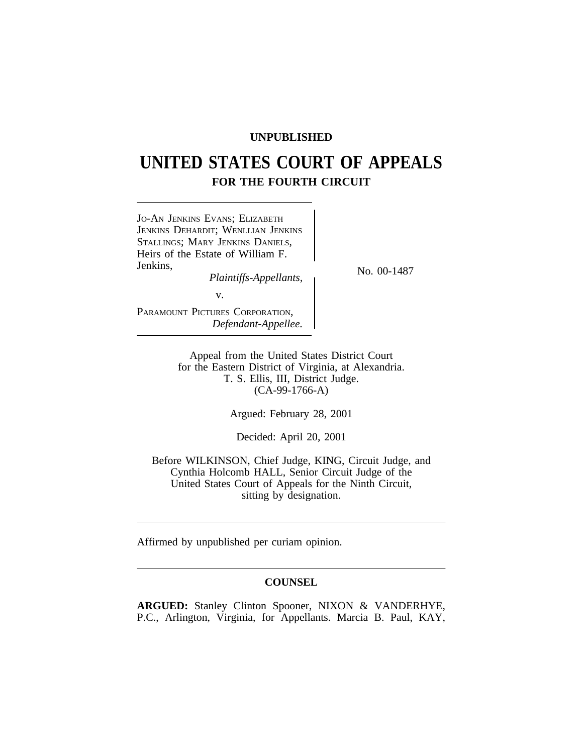## **UNPUBLISHED**

# **UNITED STATES COURT OF APPEALS FOR THE FOURTH CIRCUIT**



Appeal from the United States District Court for the Eastern District of Virginia, at Alexandria. T. S. Ellis, III, District Judge. (CA-99-1766-A)

Argued: February 28, 2001

Decided: April 20, 2001

Before WILKINSON, Chief Judge, KING, Circuit Judge, and Cynthia Holcomb HALL, Senior Circuit Judge of the United States Court of Appeals for the Ninth Circuit, sitting by designation.

Affirmed by unpublished per curiam opinion.

## **COUNSEL**

**ARGUED:** Stanley Clinton Spooner, NIXON & VANDERHYE, P.C., Arlington, Virginia, for Appellants. Marcia B. Paul, KAY,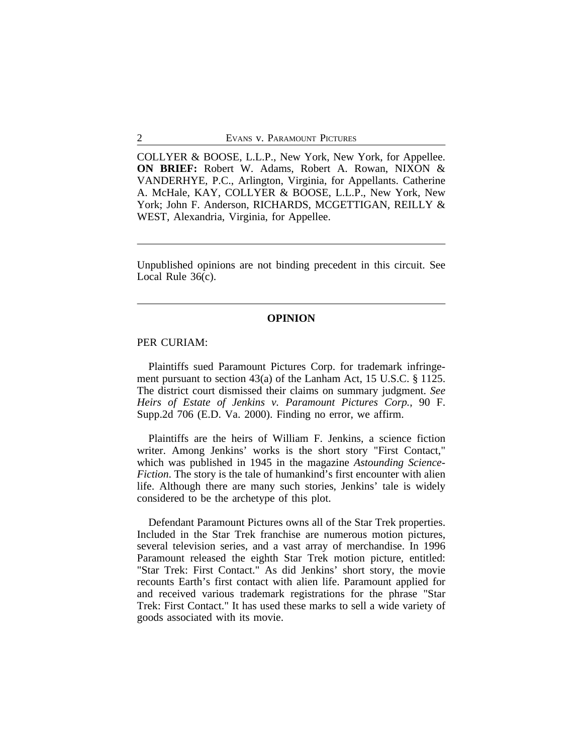COLLYER & BOOSE, L.L.P., New York, New York, for Appellee. **ON BRIEF:** Robert W. Adams, Robert A. Rowan, NIXON & VANDERHYE, P.C., Arlington, Virginia, for Appellants. Catherine A. McHale, KAY, COLLYER & BOOSE, L.L.P., New York, New York; John F. Anderson, RICHARDS, MCGETTIGAN, REILLY & WEST, Alexandria, Virginia, for Appellee.

Unpublished opinions are not binding precedent in this circuit. See Local Rule 36(c).

### **OPINION**

### PER CURIAM:

Plaintiffs sued Paramount Pictures Corp. for trademark infringement pursuant to section 43(a) of the Lanham Act, 15 U.S.C. § 1125. The district court dismissed their claims on summary judgment. *See Heirs of Estate of Jenkins v. Paramount Pictures Corp.*, 90 F. Supp.2d 706 (E.D. Va. 2000). Finding no error, we affirm.

Plaintiffs are the heirs of William F. Jenkins, a science fiction writer. Among Jenkins' works is the short story "First Contact," which was published in 1945 in the magazine *Astounding Science-Fiction*. The story is the tale of humankind's first encounter with alien life. Although there are many such stories, Jenkins' tale is widely considered to be the archetype of this plot.

Defendant Paramount Pictures owns all of the Star Trek properties. Included in the Star Trek franchise are numerous motion pictures, several television series, and a vast array of merchandise. In 1996 Paramount released the eighth Star Trek motion picture, entitled: "Star Trek: First Contact." As did Jenkins' short story, the movie recounts Earth's first contact with alien life. Paramount applied for and received various trademark registrations for the phrase "Star Trek: First Contact." It has used these marks to sell a wide variety of goods associated with its movie.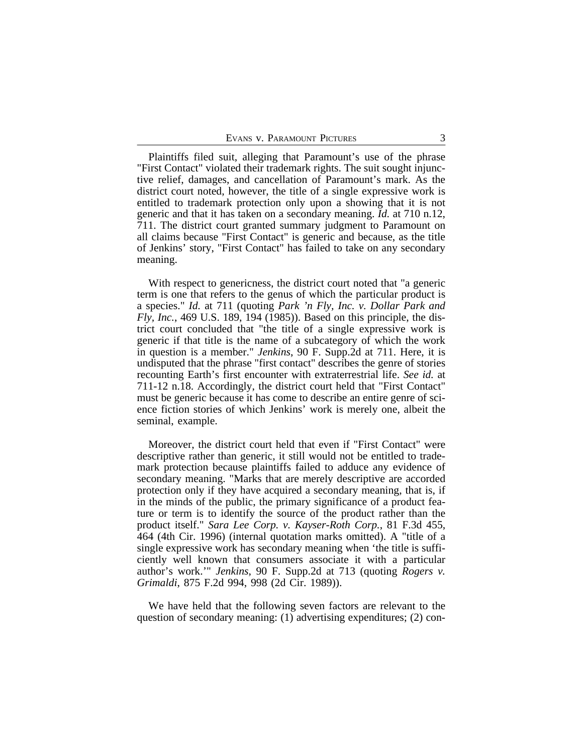Plaintiffs filed suit, alleging that Paramount's use of the phrase "First Contact" violated their trademark rights. The suit sought injunctive relief, damages, and cancellation of Paramount's mark. As the district court noted, however, the title of a single expressive work is entitled to trademark protection only upon a showing that it is not generic and that it has taken on a secondary meaning. *Id.* at 710 n.12, 711. The district court granted summary judgment to Paramount on all claims because "First Contact" is generic and because, as the title of Jenkins' story, "First Contact" has failed to take on any secondary meaning.

With respect to genericness, the district court noted that "a generic term is one that refers to the genus of which the particular product is a species." *Id.* at 711 (quoting *Park 'n Fly, Inc. v. Dollar Park and Fly, Inc.*, 469 U.S. 189, 194 (1985)). Based on this principle, the district court concluded that "the title of a single expressive work is generic if that title is the name of a subcategory of which the work in question is a member." *Jenkins*, 90 F. Supp.2d at 711. Here, it is undisputed that the phrase "first contact" describes the genre of stories recounting Earth's first encounter with extraterrestrial life. *See id.* at 711-12 n.18. Accordingly, the district court held that "First Contact" must be generic because it has come to describe an entire genre of science fiction stories of which Jenkins' work is merely one, albeit the seminal, example.

Moreover, the district court held that even if "First Contact" were descriptive rather than generic, it still would not be entitled to trademark protection because plaintiffs failed to adduce any evidence of secondary meaning. "Marks that are merely descriptive are accorded protection only if they have acquired a secondary meaning, that is, if in the minds of the public, the primary significance of a product feature or term is to identify the source of the product rather than the product itself." *Sara Lee Corp. v. Kayser-Roth Corp.*, 81 F.3d 455, 464 (4th Cir. 1996) (internal quotation marks omitted). A "title of a single expressive work has secondary meaning when 'the title is sufficiently well known that consumers associate it with a particular author's work.'" *Jenkins*, 90 F. Supp.2d at 713 (quoting *Rogers v. Grimaldi*, 875 F.2d 994, 998 (2d Cir. 1989)).

We have held that the following seven factors are relevant to the question of secondary meaning: (1) advertising expenditures; (2) con-